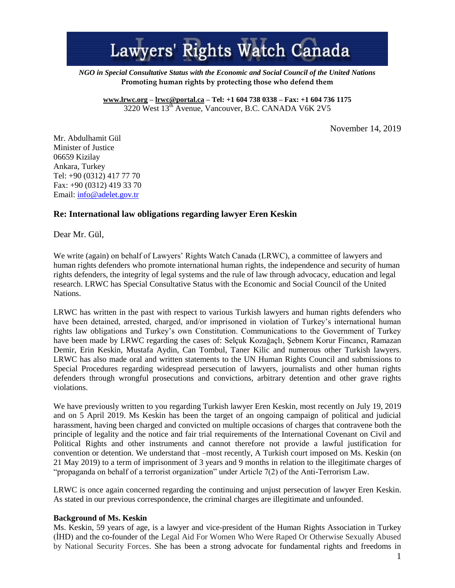# Lawyers' Rights Watch Canada

*NGO in Special Consultative Status with the Economic and Social Council of the United Nations* **Promoting human rights by protecting those who defend them**

**[www.lrwc.org](http://www.lrwc.org/) – [lrwc@portal.ca](mailto:lrwc@portal.ca) – Tel: +1 604 738 0338 – Fax: +1 604 736 1175** 3220 West 13<sup>th</sup> Avenue, Vancouver, B.C. CANADA V6K 2V5

November 14, 2019

Mr. Abdulhamit Gül Minister of Justice 06659 Kizilay Ankara, Turkey Tel: +90 (0312) 417 77 70 Fax: +90 (0312) 419 33 70 Email: [info@adelet.gov.tr](mailto:info@adelet.gov.tr) 

## **Re: International law obligations regarding lawyer Eren Keskin**

Dear Mr. Gül,

We write (again) on behalf of Lawyers' Rights Watch Canada (LRWC), a committee of lawyers and human rights defenders who promote international human rights, the independence and security of human rights defenders, the integrity of legal systems and the rule of law through advocacy, education and legal research. LRWC has Special Consultative Status with the Economic and Social Council of the United Nations.

LRWC has written in the past with respect to various Turkish lawyers and human rights defenders who have been detained, arrested, charged, and/or imprisoned in violation of Turkey's international human rights law obligations and Turkey's own Constitution. Communications to the Government of Turkey have been made by LRWC regarding the cases of: Selçuk Kozağaçlı, Şebnem Korur Fincancı, Ramazan Demir, Erin Keskin, Mustafa Aydin, Can Tombul, Taner Kilic and numerous other Turkish lawyers. LRWC has also made oral and written statements to the UN Human Rights Council and submissions to Special Procedures regarding widespread persecution of lawyers, journalists and other human rights defenders through wrongful prosecutions and convictions, arbitrary detention and other grave rights violations.

We have previously written to you regarding Turkish lawyer Eren Keskin, most recently on July 19, 2019 and on 5 April 2019. Ms Keskin has been the target of an ongoing campaign of political and judicial harassment, having been charged and convicted on multiple occasions of charges that contravene both the principle of legality and the notice and fair trial requirements of the International Covenant on Civil and Political Rights and other instruments and cannot therefore not provide a lawful justification for convention or detention. We understand that –most recently, A Turkish court imposed on Ms. Keskin (on 21 May 2019) to a term of imprisonment of 3 years and 9 months in relation to the illegitimate charges of "propaganda on behalf of a terrorist organization" under Article 7(2) of the Anti-Terrorism Law.

LRWC is once again concerned regarding the continuing and unjust persecution of lawyer Eren Keskin. As stated in our previous correspondence, the criminal charges are illegitimate and unfounded.

#### **Background of Ms. Keskin**

Ms. Keskin, 59 years of age, is a lawyer and vice-president of the Human Rights Association in Turkey (İHD) and the co-founder of the Legal Aid For Women Who Were Raped Or Otherwise Sexually Abused by National Security Forces. She has been a strong advocate for fundamental rights and freedoms in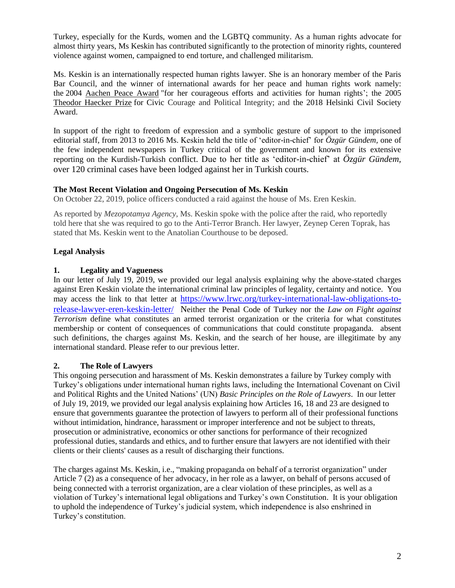Turkey, especially for the Kurds, women and the LGBTQ community. As a human rights advocate for almost thirty years, Ms Keskin has contributed significantly to the protection of minority rights, countered violence against women, campaigned to end torture, and challenged militarism.

Ms. Keskin is an internationally respected human rights lawyer. She is an honorary member of the Paris Bar Council, and the winner of international awards for her peace and human rights work namely: the 2004 [Aachen Peace Award](https://en.wikipedia.org/w/index.php?title=Aachen_Peace_Award&action=edit&redlink=1) "for her courageous efforts and activities for human rights'; the 2005 [Theodor Haecker Prize](https://en.wikipedia.org/w/index.php?title=Theodor_Haecker_Prize&action=edit&redlink=1) for Civic Courage and Political Integrity; and the 2018 Helsinki Civil Society Award.

In support of the right to freedom of expression and a symbolic gesture of support to the imprisoned editorial staff, from 2013 to 2016 Ms. Keskin held the title of 'editor-in-chief' for *Özgür Gündem,* one of the few independent newspapers in Turkey critical of the government and known for its extensive reporting on the Kurdish-Turkish conflict. Due to her title as 'editor-in-chief' at *Özgür Gündem,* over 120 criminal cases have been lodged against her in Turkish courts.

## **The Most Recent Violation and Ongoing Persecution of Ms. Keskin**

On October 22, 2019, police officers conducted a raid against the house of Ms. Eren Keskin.

As reported by *Mezopotamya Agency,* Ms. Keskin spoke with the police after the raid, who reportedly told here that she was required to go to the Anti-Terror Branch. Her lawyer, Zeynep Ceren Toprak, has stated that Ms. Keskin went to the Anatolian Courthouse to be deposed.

## **Legal Analysis**

#### **1. Legality and Vagueness**

In our letter of July 19, 2019, we provided our legal analysis explaining why the above-stated charges against Eren Keskin violate the international criminal law principles of legality, certainty and notice. You may access the link to that letter at [https://www.lrwc.org/turkey-international-law-obligations-to](https://www.lrwc.org/turkey-international-law-obligations-to-release-lawyer-eren-keskin-letter/)[release-lawyer-eren-keskin-letter/](https://www.lrwc.org/turkey-international-law-obligations-to-release-lawyer-eren-keskin-letter/) Neither the Penal Code of Turkey nor the *Law on Fight against Terrorism* define what constitutes an armed terrorist organization or the criteria for what constitutes membership or content of consequences of communications that could constitute propaganda. absent such definitions, the charges against Ms. Keskin, and the search of her house, are illegitimate by any international standard. Please refer to our previous letter.

## **2. The Role of Lawyers**

This ongoing persecution and harassment of Ms. Keskin demonstrates a failure by Turkey comply with Turkey's obligations under international human rights laws, including the International Covenant on Civil and Political Rights and the United Nations' (UN) *Basic Principles on the Role of Lawyers*. In our letter of July 19, 2019, we provided our legal analysis explaining how Articles 16, 18 and 23 are designed to ensure that governments guarantee the protection of lawyers to perform all of their professional functions without intimidation, hindrance, harassment or improper interference and not be subject to threats, prosecution or administrative, economics or other sanctions for performance of their recognized professional duties, standards and ethics, and to further ensure that lawyers are not identified with their clients or their clients' causes as a result of discharging their functions.

The charges against Ms. Keskin, i.e., "making propaganda on behalf of a terrorist organization" under Article 7 (2) as a consequence of her advocacy, in her role as a lawyer, on behalf of persons accused of being connected with a terrorist organization, are a clear violation of these principles, as well as a violation of Turkey's international legal obligations and Turkey's own Constitution. It is your obligation to uphold the independence of Turkey's judicial system, which independence is also enshrined in Turkey's constitution.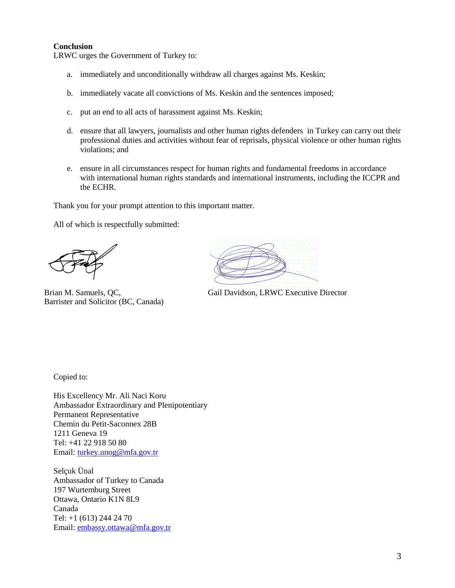#### **Conclusion**

LRWC urges the Government of Turkey to:

- a. immediately and unconditionally withdraw all charges against Ms. Keskin;
- b. immediately vacate all convictions of Ms. Keskin and the sentences imposed;
- c. put an end to all acts of harassment against Ms. Keskin;
- d. ensure that all lawyers, journalists and other human rights defenders in Turkey can carry out their professional duties and activities without fear of reprisals, physical violence or other human rights violations; and
- e. ensure in all circumstances respect for human rights and fundamental freedoms in accordance with international human rights standards and international instruments, including the ICCPR and the ECHR.

Thank you for your prompt attention to this important matter.

All of which is respectfully submitted:

Brian M. Samuels, QC, Barrister and Solicitor (BC, Canada)

Gail Davidson, LRWC Executive Director

Copied to:

His Excellency Mr. Ali Naci Koru Ambassador Extraordinary and Plenipotentiary Permanent Representative Chemin du Petit-Saconnex 28B 1211 Geneva 19 Tel: +41 22 918 50 80 Email: [turkey.unog@mfa.gov.tr](mailto:turkey.unog@mfa.gov.tr)

Selçuk Ünal Ambassador of Turkey to Canada 197 Wurtemburg Street Ottawa, Ontario K1N 8L9 Canada Tel: +1 (613) 244 24 70 Email: [embassy.ottawa@mfa.gov.tr](mailto:embassy.ottawa@mfa.gov.tr)